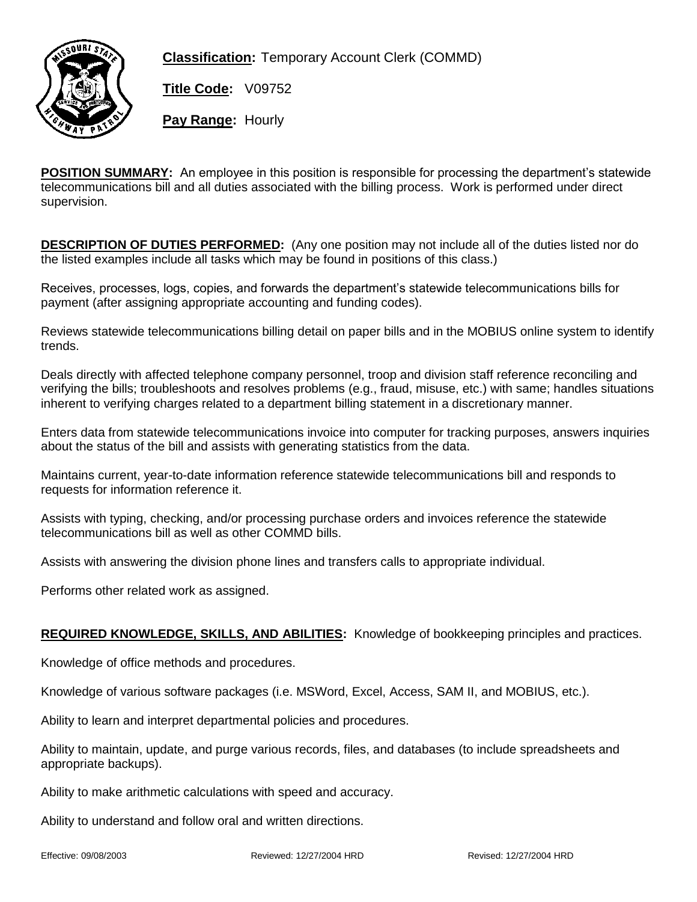

**Classification:** Temporary Account Clerk (COMMD)

**Title Code:** V09752

**Pay Range:** Hourly

**POSITION SUMMARY:** An employee in this position is responsible for processing the department's statewide telecommunications bill and all duties associated with the billing process. Work is performed under direct supervision.

**DESCRIPTION OF DUTIES PERFORMED:** (Any one position may not include all of the duties listed nor do the listed examples include all tasks which may be found in positions of this class.)

Receives, processes, logs, copies, and forwards the department's statewide telecommunications bills for payment (after assigning appropriate accounting and funding codes).

Reviews statewide telecommunications billing detail on paper bills and in the MOBIUS online system to identify trends.

Deals directly with affected telephone company personnel, troop and division staff reference reconciling and verifying the bills; troubleshoots and resolves problems (e.g., fraud, misuse, etc.) with same; handles situations inherent to verifying charges related to a department billing statement in a discretionary manner.

Enters data from statewide telecommunications invoice into computer for tracking purposes, answers inquiries about the status of the bill and assists with generating statistics from the data.

Maintains current, year-to-date information reference statewide telecommunications bill and responds to requests for information reference it.

Assists with typing, checking, and/or processing purchase orders and invoices reference the statewide telecommunications bill as well as other COMMD bills.

Assists with answering the division phone lines and transfers calls to appropriate individual.

Performs other related work as assigned.

## **REQUIRED KNOWLEDGE, SKILLS, AND ABILITIES:** Knowledge of bookkeeping principles and practices.

Knowledge of office methods and procedures.

Knowledge of various software packages (i.e. MSWord, Excel, Access, SAM II, and MOBIUS, etc.).

Ability to learn and interpret departmental policies and procedures.

Ability to maintain, update, and purge various records, files, and databases (to include spreadsheets and appropriate backups).

Ability to make arithmetic calculations with speed and accuracy.

Ability to understand and follow oral and written directions.